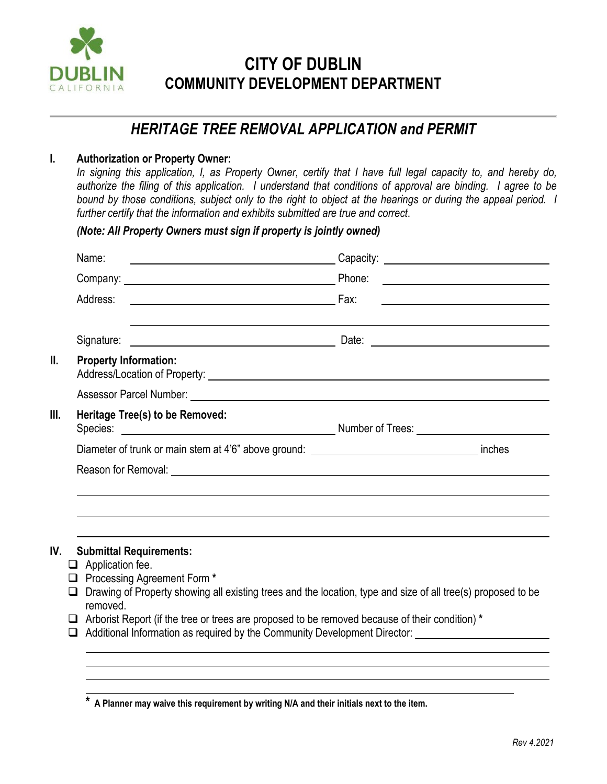

# **CITY OF DUBLIN COMMUNITY DEVELOPMENT DEPARTMENT**

## *HERITAGE TREE REMOVAL APPLICATION and PERMIT*

### **I. Authorization or Property Owner:**

In signing this application, I, as Property Owner, certify that I have full legal capacity to, and hereby do, *authorize the filing of this application. I understand that conditions of approval are binding. I agree to be bound by those conditions, subject only to the right to object at the hearings or during the appeal period. I further certify that the information and exhibits submitted are true and correct*.

*(Note: All Property Owners must sign if property is jointly owned)*

| Name:<br><u> 1989 - Johann Barbara, martin amerikan basal dan berasal dan berasal dan berasal dan berasal dan berasal dan</u> |                                                     |  |
|-------------------------------------------------------------------------------------------------------------------------------|-----------------------------------------------------|--|
|                                                                                                                               |                                                     |  |
| Address:                                                                                                                      | <u> 1980 - Andrea Station Barbara, amerikan per</u> |  |
|                                                                                                                               |                                                     |  |
| <b>Property Information:</b>                                                                                                  |                                                     |  |
|                                                                                                                               |                                                     |  |
| Heritage Tree(s) to be Removed:                                                                                               |                                                     |  |
|                                                                                                                               |                                                     |  |
|                                                                                                                               |                                                     |  |

- $\Box$  Application fee.
- Processing Agreement Form **\***
- $\Box$  Drawing of Property showing all existing trees and the location, type and size of all tree(s) proposed to be removed.
- Arborist Report (if the tree or trees are proposed to be removed because of their condition) **\***
- $\Box$  Additional Information as required by the Community Development Director:

**<sup>\*</sup> A Planner may waive this requirement by writing N/A and their initials next to the item.**